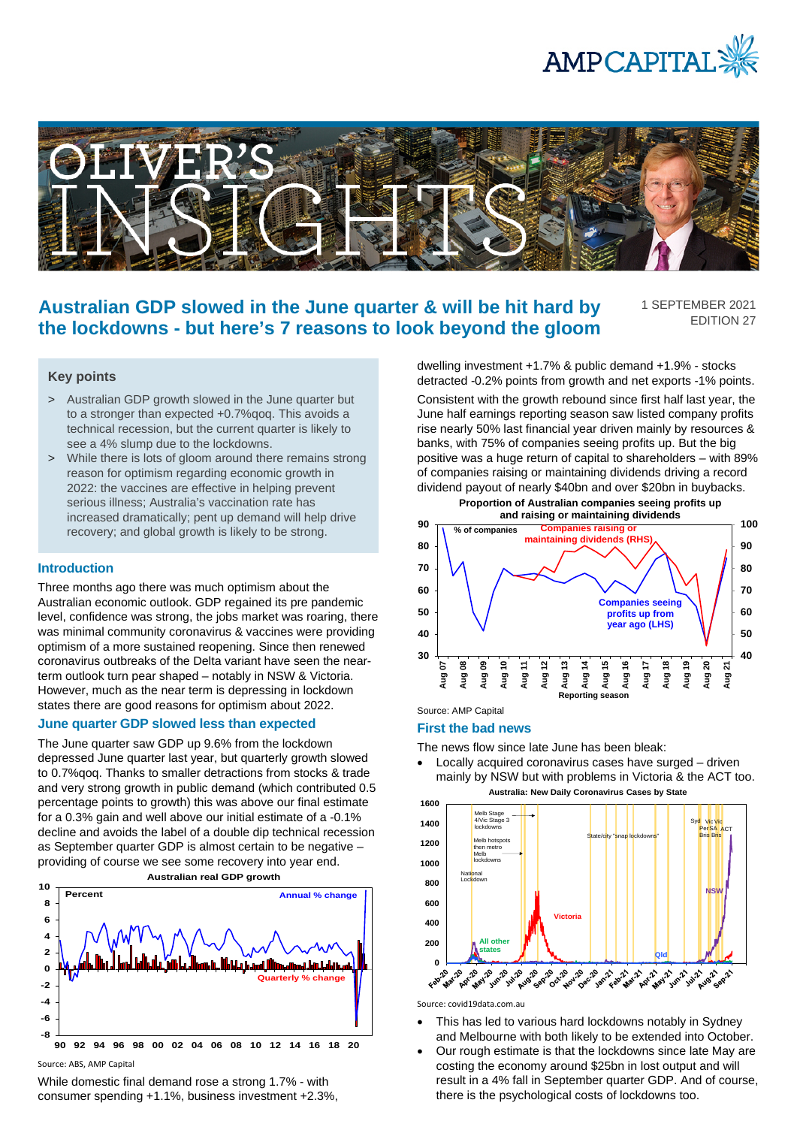



# **Australian GDP slowed in the June quarter & will be hit hard by the lockdowns - but here's 7 reasons to look beyond the gloom**

1 SEPTEMBER 2021 EDITION 27

# **Key points**

- > Australian GDP growth slowed in the June quarter but to a stronger than expected +0.7%qoq. This avoids a technical recession, but the current quarter is likely to see a 4% slump due to the lockdowns.
- > While there is lots of gloom around there remains strong reason for optimism regarding economic growth in 2022: the vaccines are effective in helping prevent serious illness; Australia's vaccination rate has increased dramatically; pent up demand will help drive recovery; and global growth is likely to be strong.

#### **Introduction**

Three months ago there was much optimism about the Australian economic outlook. GDP regained its pre pandemic level, confidence was strong, the jobs market was roaring, there was minimal community coronavirus & vaccines were providing optimism of a more sustained reopening. Since then renewed coronavirus outbreaks of the Delta variant have seen the nearterm outlook turn pear shaped – notably in NSW & Victoria. However, much as the near term is depressing in lockdown states there are good reasons for optimism about 2022.

### **June quarter GDP slowed less than expected**

The June quarter saw GDP up 9.6% from the lockdown depressed June quarter last year, but quarterly growth slowed to 0.7%qoq. Thanks to smaller detractions from stocks & trade and very strong growth in public demand (which contributed 0.5 percentage points to growth) this was above our final estimate for a 0.3% gain and well above our initial estimate of a -0.1% decline and avoids the label of a double dip technical recession as September quarter GDP is almost certain to be negative – providing of course we see some recovery into year end. **Australian real GDP growth**



Source: ABS, AMP Capital

While domestic final demand rose a strong 1.7% - with consumer spending +1.1%, business investment +2.3%, dwelling investment +1.7% & public demand +1.9% - stocks detracted -0.2% points from growth and net exports -1% points. Consistent with the growth rebound since first half last year, the June half earnings reporting season saw listed company profits rise nearly 50% last financial year driven mainly by resources & banks, with 75% of companies seeing profits up. But the big positive was a huge return of capital to shareholders – with 89% of companies raising or maintaining dividends driving a record dividend payout of nearly \$40bn and over \$20bn in buybacks.



## Source: AMP Capital

#### **First the bad news**

The news flow since late June has been bleak:

• Locally acquired coronavirus cases have surged – driven mainly by NSW but with problems in Victoria & the ACT too. **Australia: New Daily Coronavirus Cases by State**



Source: covid19data.com.au

- This has led to various hard lockdowns notably in Sydney and Melbourne with both likely to be extended into October.
- Our rough estimate is that the lockdowns since late May are costing the economy around \$25bn in lost output and will result in a 4% fall in September quarter GDP. And of course, there is the psychological costs of lockdowns too.